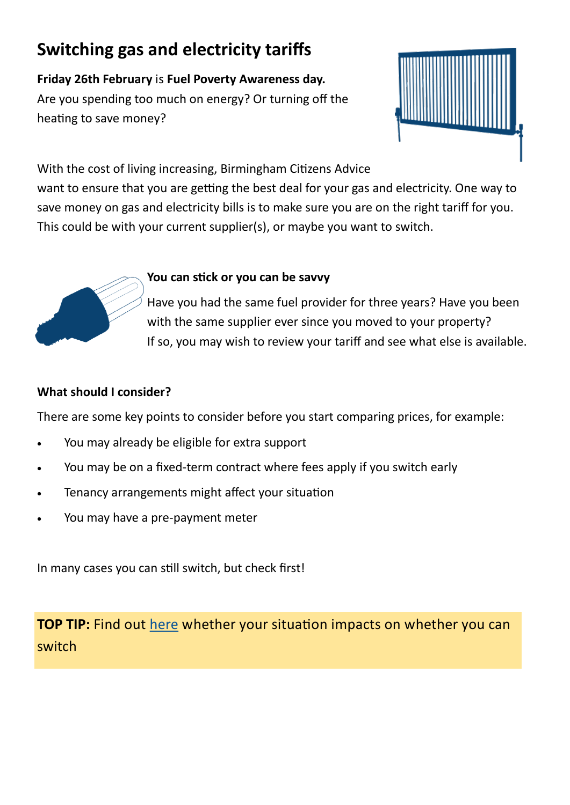# **Switching gas and electricity tariffs**

**Friday 26th February** is **Fuel Poverty Awareness day.**  Are you spending too much on energy? Or turning off the heating to save money?



With the cost of living increasing, Birmingham Citizens Advice

want to ensure that you are getting the best deal for your gas and electricity. One way to save money on gas and electricity bills is to make sure you are on the right tariff for you. This could be with your current supplier(s), or maybe you want to switch.



# **You can stick or you can be savvy**

Have you had the same fuel provider for three years? Have you been with the same supplier ever since you moved to your property? If so, you may wish to review your tariff and see what else is available.

# **What should I consider?**

There are some key points to consider before you start comparing prices, for example:

- You may already be eligible for extra support
- You may be on a fixed-term contract where fees apply if you switch early
- Tenancy arrangements might affect your situation
- You may have a pre-payment meter

In many cases you can still switch, but check first!

**TOP TIP:** Find out [here](http://www.goenergyshopping.co.uk/en-gb/faqs) whether your situation impacts on whether you can switch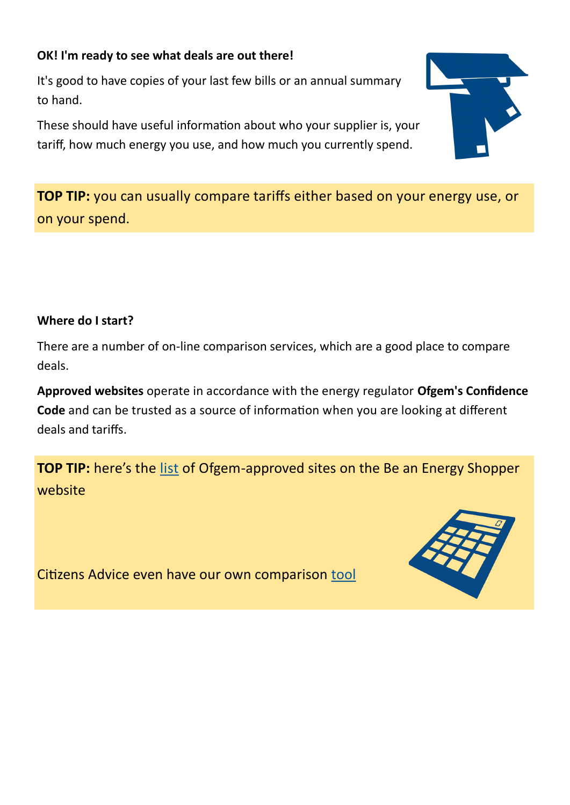# **OK! I'm ready to see what deals are out there!**

It's good to have copies of your last few bills or an annual summary to hand.

These should have useful information about who your supplier is, your tariff, how much energy you use, and how much you currently spend.



# **Where do I start?**

There are a number of on-line comparison services, which are a good place to compare deals.

**Approved websites** operate in accordance with the energy regulator **Ofgem's Confidence Code** and can be trusted as a source of information when you are looking at different deals and tariffs.

**TOP TIP:** here's the [list](http://www.goenergyshopping.co.uk/en-gb/help/comparison-sites) of Ofgem-approved sites on the Be an Energy Shopper website

Citizens Advice even have our own comparison [tool](http://energycompare.citizensadvice.org.uk/)



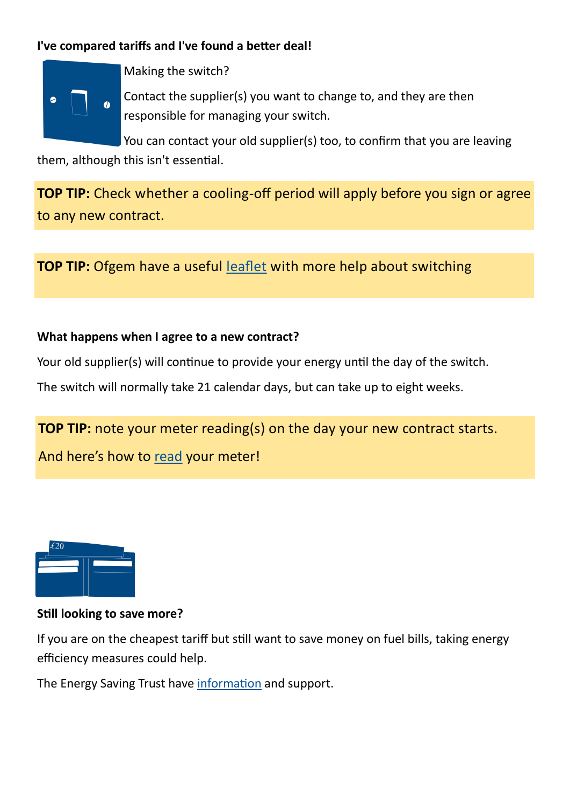# **I've compared tariffs and I've found a better deal!**



Making the switch?

Contact the supplier(s) you want to change to, and they are then responsible for managing your switch.

You can contact your old supplier(s) too, to confirm that you are leaving them, although this isn't essential.

**TOP TIP:** Check whether a cooling-off period will apply before you sign or agree to any new contract.

**TOP TIP:** Ofgem have a useful [leaflet](https://www.ofgem.gov.uk/sites/default/files/docs/2014/08/ofg538_web_how_to_leaflet_2.pdf) with more help about switching

#### **What happens when I agree to a new contract?**

Your old supplier(s) will continue to provide your energy until the day of the switch.

The switch will normally take 21 calendar days, but can take up to eight weeks.

# **TOP TIP:** note your meter reading(s) on the day your new contract starts.

And here's how to [read](http://www.goenergyshopping.co.uk/en-gb/meter-readings) your meter!



#### **Still looking to save more?**

If you are on the cheapest tariff but still want to save money on fuel bills, taking energy efficiency measures could help.

The Energy Saving Trust have [information](http://www.energysavingtrust.org.uk/domestic/) and support.